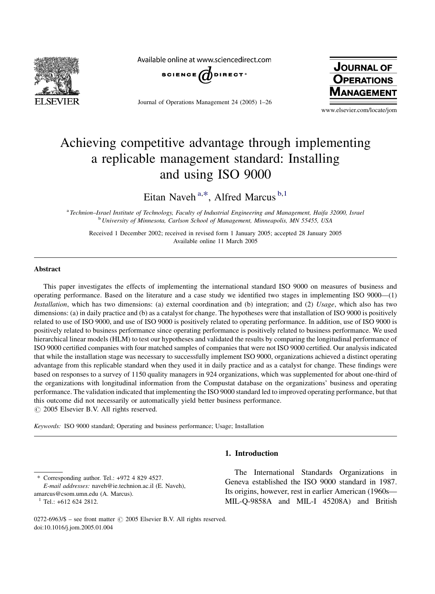

Available online at www.sciencedirect.com



Journal of Operations Management 24 (2005) 1–26



www.elsevier.com/locate/jom

# Achieving competitive advantage through implementing a replicable management standard: Installing and using ISO 9000

Eitan Naveh<sup>a,\*</sup>, Alfred Marcus<sup>b,1</sup>

a Technion–Israel Institute of Technology, Faculty of Industrial Engineering and Management, Haifa 32000, Israel <sup>b</sup> University of Minnesota, Carlson School of Management, Minneapolis, MN 55455, USA

Received 1 December 2002; received in revised form 1 January 2005; accepted 28 January 2005 Available online 11 March 2005

#### Abstract

This paper investigates the effects of implementing the international standard ISO 9000 on measures of business and operating performance. Based on the literature and a case study we identified two stages in implementing ISO 9000—(1) Installation, which has two dimensions: (a) external coordination and (b) integration; and (2) Usage, which also has two dimensions: (a) in daily practice and (b) as a catalyst for change. The hypotheses were that installation of ISO 9000 is positively related to use of ISO 9000, and use of ISO 9000 is positively related to operating performance. In addition, use of ISO 9000 is positively related to business performance since operating performance is positively related to business performance. We used hierarchical linear models (HLM) to test our hypotheses and validated the results by comparing the longitudinal performance of ISO 9000 certified companies with four matched samples of companies that were not ISO 9000 certified. Our analysis indicated that while the installation stage was necessary to successfully implement ISO 9000, organizations achieved a distinct operating advantage from this replicable standard when they used it in daily practice and as a catalyst for change. These findings were based on responses to a survey of 1150 quality managers in 924 organizations, which was supplemented for about one-third of the organizations with longitudinal information from the Compustat database on the organizations' business and operating performance. The validation indicated that implementing the ISO 9000 standard led to improved operating performance, but that this outcome did not necessarily or automatically yield better business performance.  $\odot$  2005 Elsevier B.V. All rights reserved.

Keywords: ISO 9000 standard; Operating and business performance; Usage; Installation

#### 1. Introduction

Corresponding author. Tel.: +972 4 829 4527.

E-mail addresses: naveh@ie.technion.ac.il (E. Naveh), amarcus@csom.umn.edu (A. Marcus).

 $1$  Tel.: +612 624 2812.

The International Standards Organizations in Geneva established the ISO 9000 standard in 1987. Its origins, however, rest in earlier American (1960s— MIL-Q-9858A and MIL-I 45208A) and British

0272-6963/\$ – see front matter  $\odot$  2005 Elsevier B.V. All rights reserved. doi:10.1016/j.jom.2005.01.004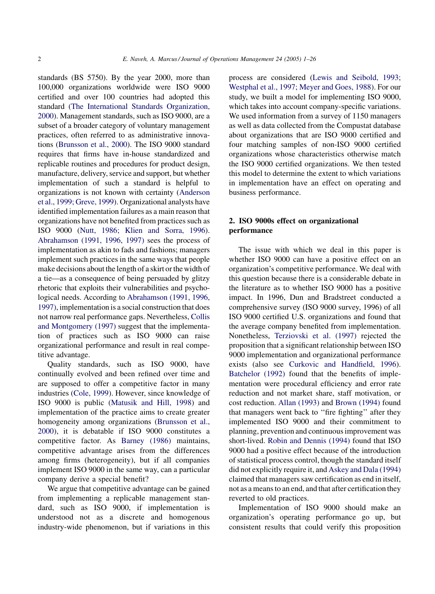standards (BS 5750). By the year 2000, more than 100,000 organizations worldwide were ISO 9000 certified and over 100 countries had adopted this standard [\(The International Standards Organization,](#page--1-0) [2000](#page--1-0)). Management standards, such as ISO 9000, are a subset of a broader category of voluntary management practices, often referred to as administrative innovations [\(Brunsson et al., 2000](#page--1-0)). The ISO 9000 standard requires that firms have in-house standardized and replicable routines and procedures for product design, manufacture, delivery, service and support, but whether implementation of such a standard is helpful to organizations is not known with certainty [\(Anderson](#page--1-0) [et al., 1999; Greve, 1999](#page--1-0)). Organizational analysts have identified implementation failures as a main reason that organizations have not benefited from practices such as ISO 9000 [\(Nutt, 1986; Klien and Sorra, 1996\)](#page--1-0). [Abrahamson \(1991, 1996, 1997\)](#page--1-0) sees the process of implementation as akin to fads and fashions; managers implement such practices in the same ways that people make decisions about the length of a skirt or the width of a tie—as a consequence of being persuaded by glitzy rhetoric that exploits their vulnerabilities and psychological needs. According to [Abrahamson \(1991, 1996,](#page--1-0) [1997\)](#page--1-0), implementation is a social construction that does not narrow real performance gaps. Nevertheless, [Collis](#page--1-0) [and Montgomery \(1997\)](#page--1-0) suggest that the implementation of practices such as ISO 9000 can raise organizational performance and result in real competitive advantage.

Quality standards, such as ISO 9000, have continually evolved and been refined over time and are supposed to offer a competitive factor in many industries [\(Cole, 1999](#page--1-0)). However, since knowledge of ISO 9000 is public ([Matusik and Hill, 1998\)](#page--1-0) and implementation of the practice aims to create greater homogeneity among organizations ([Brunsson et al.,](#page--1-0) [2000](#page--1-0)), it is debatable if ISO 9000 constitutes a competitive factor. As [Barney \(1986\)](#page--1-0) maintains, competitive advantage arises from the differences among firms (heterogeneity), but if all companies implement ISO 9000 in the same way, can a particular company derive a special benefit?

We argue that competitive advantage can be gained from implementing a replicable management standard, such as ISO 9000, if implementation is understood not as a discrete and homogenous industry-wide phenomenon, but if variations in this

process are considered [\(Lewis and Seibold, 1993;](#page--1-0) [Westphal et al., 1997; Meyer and Goes, 1988\)](#page--1-0). For our study, we built a model for implementing ISO 9000, which takes into account company-specific variations. We used information from a survey of 1150 managers as well as data collected from the Compustat database about organizations that are ISO 9000 certified and four matching samples of non-ISO 9000 certified organizations whose characteristics otherwise match the ISO 9000 certified organizations. We then tested this model to determine the extent to which variations in implementation have an effect on operating and business performance.

### 2. ISO 9000s effect on organizational performance

The issue with which we deal in this paper is whether ISO 9000 can have a positive effect on an organization's competitive performance. We deal with this question because there is a considerable debate in the literature as to whether ISO 9000 has a positive impact. In 1996, Dun and Bradstreet conducted a comprehensive survey (ISO 9000 survey, 1996) of all ISO 9000 certified U.S. organizations and found that the average company benefited from implementation. Nonetheless, [Terziovski et al. \(1997\)](#page--1-0) rejected the proposition that a significant relationship between ISO 9000 implementation and organizational performance exists (also see [Curkovic and Handfield, 1996\)](#page--1-0). [Batchelor \(1992\)](#page--1-0) found that the benefits of implementation were procedural efficiency and error rate reduction and not market share, staff motivation, or cost reduction. [Allan \(1993\)](#page--1-0) and [Brown \(1994\)](#page--1-0) found that managers went back to ''fire fighting'' after they implemented ISO 9000 and their commitment to planning, prevention and continuous improvement was short-lived. [Robin and Dennis \(1994\)](#page--1-0) found that ISO 9000 had a positive effect because of the introduction of statistical process control, though the standard itself did not explicitly require it, and [Askey and Dala \(1994\)](#page--1-0) claimed that managers saw certification as end in itself, not as a means to an end, and that after certification they reverted to old practices.

Implementation of ISO 9000 should make an organization's operating performance go up, but consistent results that could verify this proposition